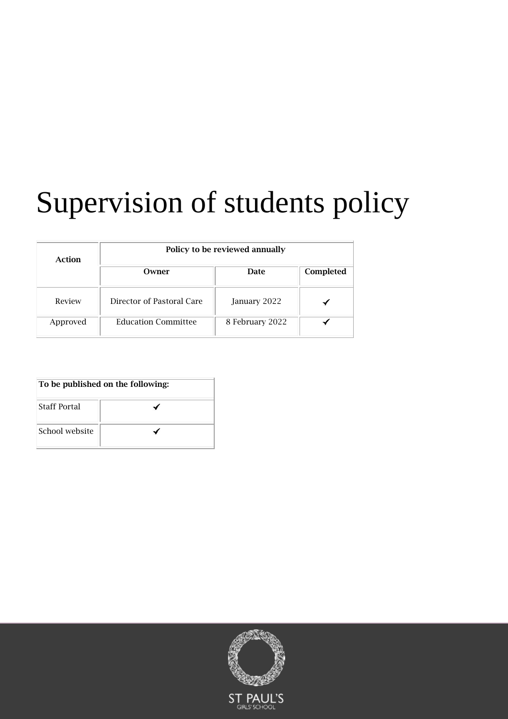# Supervision of students policy

| Action   | Policy to be reviewed annually |                 |           |  |
|----------|--------------------------------|-----------------|-----------|--|
|          | Owner                          | Date            | Completed |  |
| Review   | Director of Pastoral Care      | January 2022    |           |  |
| Approved | <b>Education Committee</b>     | 8 February 2022 |           |  |

| To be published on the following: |  |  |
|-----------------------------------|--|--|
| <b>Staff Portal</b>               |  |  |
| School website                    |  |  |

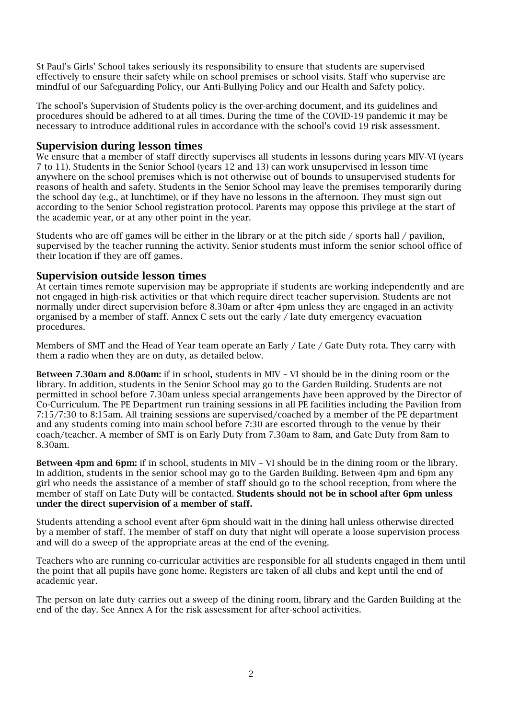St Paul's Girls' School takes seriously its responsibility to ensure that students are supervised effectively to ensure their safety while on school premises or school visits. Staff who supervise are mindful of our Safeguarding Policy, our Anti-Bullying Policy and our Health and Safety policy.

The school's Supervision of Students policy is the over-arching document, and its guidelines and procedures should be adhered to at all times. During the time of the COVID-19 pandemic it may be necessary to introduce additional rules in accordance with the school's covid 19 risk assessment.

## Supervision during lesson times

We ensure that a member of staff directly supervises all students in lessons during years MIV-VI (years 7 to 11). Students in the Senior School (years 12 and 13) can work unsupervised in lesson time anywhere on the school premises which is not otherwise out of bounds to unsupervised students for reasons of health and safety. Students in the Senior School may leave the premises temporarily during the school day (e.g., at lunchtime), or if they have no lessons in the afternoon. They must sign out according to the Senior School registration protocol. Parents may oppose this privilege at the start of the academic year, or at any other point in the year.

Students who are off games will be either in the library or at the pitch side / sports hall / pavilion, supervised by the teacher running the activity. Senior students must inform the senior school office of their location if they are off games.

# Supervision outside lesson times

At certain times remote supervision may be appropriate if students are working independently and are not engaged in high-risk activities or that which require direct teacher supervision. Students are not normally under direct supervision before 8.30am or after 4pm unless they are engaged in an activity organised by a member of staff. Annex C sets out the early / late duty emergency evacuation procedures.

Members of SMT and the Head of Year team operate an Early / Late / Gate Duty rota. They carry with them a radio when they are on duty, as detailed below.

Between 7.30am and 8.00am: if in school, students in MIV – VI should be in the dining room or the library. In addition, students in the Senior School may go to the Garden Building. Students are not permitted in school before 7.30am unless special arrangements have been approved by the Director of Co-Curriculum. The PE Department run training sessions in all PE facilities including the Pavilion from 7:15/7:30 to 8:15am. All training sessions are supervised/coached by a member of the PE department and any students coming into main school before 7:30 are escorted through to the venue by their coach/teacher. A member of SMT is on Early Duty from 7.30am to 8am, and Gate Duty from 8am to 8.30am.

Between 4pm and 6pm: if in school, students in MIV – VI should be in the dining room or the library. In addition, students in the senior school may go to the Garden Building. Between 4pm and 6pm any girl who needs the assistance of a member of staff should go to the school reception, from where the member of staff on Late Duty will be contacted. Students should not be in school after 6pm unless under the direct supervision of a member of staff.

Students attending a school event after 6pm should wait in the dining hall unless otherwise directed by a member of staff. The member of staff on duty that night will operate a loose supervision process and will do a sweep of the appropriate areas at the end of the evening.

Teachers who are running co-curricular activities are responsible for all students engaged in them until the point that all pupils have gone home. Registers are taken of all clubs and kept until the end of academic year.

The person on late duty carries out a sweep of the dining room, library and the Garden Building at the end of the day. See Annex A for the risk assessment for after-school activities.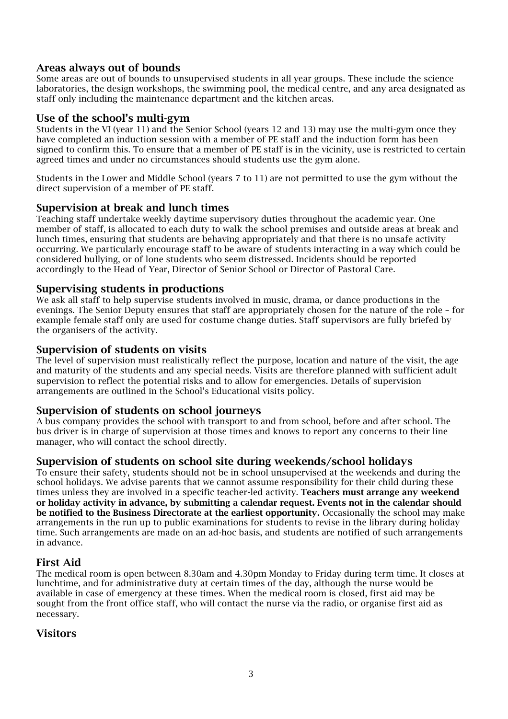# Areas always out of bounds

Some areas are out of bounds to unsupervised students in all year groups. These include the science laboratories, the design workshops, the swimming pool, the medical centre, and any area designated as staff only including the maintenance department and the kitchen areas.

## Use of the school's multi-gym

Students in the VI (year 11) and the Senior School (years 12 and 13) may use the multi-gym once they have completed an induction session with a member of PE staff and the induction form has been signed to confirm this. To ensure that a member of PE staff is in the vicinity, use is restricted to certain agreed times and under no circumstances should students use the gym alone.

Students in the Lower and Middle School (years 7 to 11) are not permitted to use the gym without the direct supervision of a member of PE staff.

## Supervision at break and lunch times

Teaching staff undertake weekly daytime supervisory duties throughout the academic year. One member of staff, is allocated to each duty to walk the school premises and outside areas at break and lunch times, ensuring that students are behaving appropriately and that there is no unsafe activity occurring. We particularly encourage staff to be aware of students interacting in a way which could be considered bullying, or of lone students who seem distressed. Incidents should be reported accordingly to the Head of Year, Director of Senior School or Director of Pastoral Care.

## Supervising students in productions

We ask all staff to help supervise students involved in music, drama, or dance productions in the evenings. The Senior Deputy ensures that staff are appropriately chosen for the nature of the role – for example female staff only are used for costume change duties. Staff supervisors are fully briefed by the organisers of the activity.

## Supervision of students on visits

The level of supervision must realistically reflect the purpose, location and nature of the visit, the age and maturity of the students and any special needs. Visits are therefore planned with sufficient adult supervision to reflect the potential risks and to allow for emergencies. Details of supervision arrangements are outlined in the School's Educational visits policy.

# Supervision of students on school journeys

A bus company provides the school with transport to and from school, before and after school. The bus driver is in charge of supervision at those times and knows to report any concerns to their line manager, who will contact the school directly.

## Supervision of students on school site during weekends/school holidays

To ensure their safety, students should not be in school unsupervised at the weekends and during the school holidays. We advise parents that we cannot assume responsibility for their child during these times unless they are involved in a specific teacher-led activity. **Teachers must arrange any weekend** or holiday activity in advance, by submitting a calendar request. Events not in the calendar should be notified to the Business Directorate at the earliest opportunity. Occasionally the school may make arrangements in the run up to public examinations for students to revise in the library during holiday time. Such arrangements are made on an ad-hoc basis, and students are notified of such arrangements in advance.

## First Aid

The medical room is open between 8.30am and 4.30pm Monday to Friday during term time. It closes at lunchtime, and for administrative duty at certain times of the day, although the nurse would be available in case of emergency at these times. When the medical room is closed, first aid may be sought from the front office staff, who will contact the nurse via the radio, or organise first aid as necessary.

# **Visitors**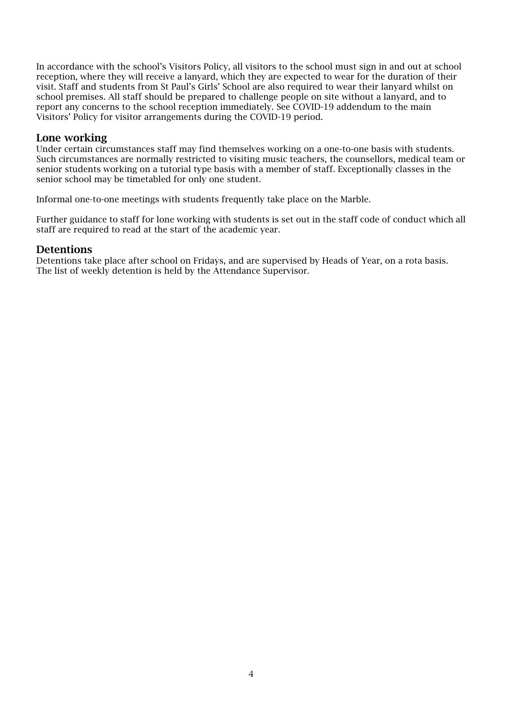In accordance with the school's Visitors Policy, all visitors to the school must sign in and out at school reception, where they will receive a lanyard, which they are expected to wear for the duration of their visit. Staff and students from St Paul's Girls' School are also required to wear their lanyard whilst on school premises. All staff should be prepared to challenge people on site without a lanyard, and to report any concerns to the school reception immediately. See COVID-19 addendum to the main Visitors' Policy for visitor arrangements during the COVID-19 period.

## Lone working

Under certain circumstances staff may find themselves working on a one-to-one basis with students. Such circumstances are normally restricted to visiting music teachers, the counsellors, medical team or senior students working on a tutorial type basis with a member of staff. Exceptionally classes in the senior school may be timetabled for only one student.

Informal one-to-one meetings with students frequently take place on the Marble.

Further guidance to staff for lone working with students is set out in the staff code of conduct which all staff are required to read at the start of the academic year.

## Detentions

Detentions take place after school on Fridays, and are supervised by Heads of Year, on a rota basis. The list of weekly detention is held by the Attendance Supervisor.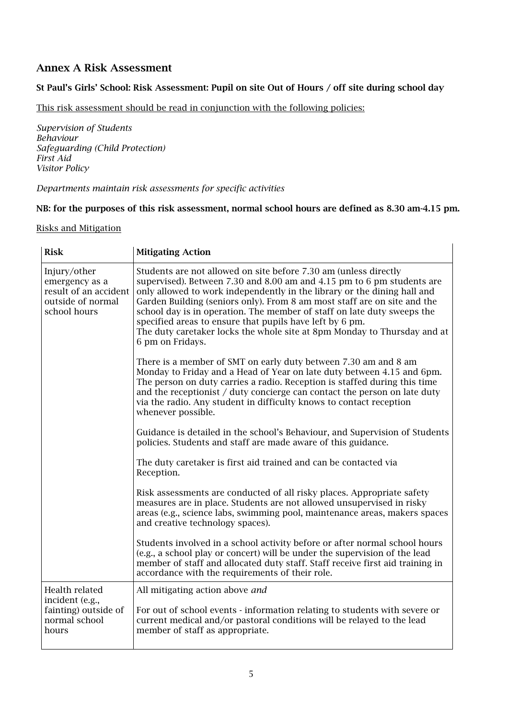# Annex A Risk Assessment

## St Paul's Girls' School: Risk Assessment: Pupil on site Out of Hours / off site during school day

This risk assessment should be read in conjunction with the following policies:

*Supervision of Students Behaviour Safeguarding (Child Protection) First Aid Visitor Policy*

## *Departments maintain risk assessments for specific activities*

## NB: for the purposes of this risk assessment, normal school hours are defined as 8.30 am-4.15 pm.

## Risks and Mitigation

| <b>Risk</b>                                                                                  | <b>Mitigating Action</b>                                                                                                                                                                                                                                                                                                                                                                                                                                                                                                                  |  |
|----------------------------------------------------------------------------------------------|-------------------------------------------------------------------------------------------------------------------------------------------------------------------------------------------------------------------------------------------------------------------------------------------------------------------------------------------------------------------------------------------------------------------------------------------------------------------------------------------------------------------------------------------|--|
| Injury/other<br>emergency as a<br>result of an accident<br>outside of normal<br>school hours | Students are not allowed on site before 7.30 am (unless directly<br>supervised). Between 7.30 and 8.00 am and 4.15 pm to 6 pm students are<br>only allowed to work independently in the library or the dining hall and<br>Garden Building (seniors only). From 8 am most staff are on site and the<br>school day is in operation. The member of staff on late duty sweeps the<br>specified areas to ensure that pupils have left by 6 pm.<br>The duty caretaker locks the whole site at 8pm Monday to Thursday and at<br>6 pm on Fridays. |  |
|                                                                                              | There is a member of SMT on early duty between 7.30 am and 8 am<br>Monday to Friday and a Head of Year on late duty between 4.15 and 6pm.<br>The person on duty carries a radio. Reception is staffed during this time<br>and the receptionist / duty concierge can contact the person on late duty<br>via the radio. Any student in difficulty knows to contact reception<br>whenever possible.                                                                                                                                          |  |
|                                                                                              | Guidance is detailed in the school's Behaviour, and Supervision of Students<br>policies. Students and staff are made aware of this guidance.                                                                                                                                                                                                                                                                                                                                                                                              |  |
|                                                                                              | The duty caretaker is first aid trained and can be contacted via<br>Reception.                                                                                                                                                                                                                                                                                                                                                                                                                                                            |  |
|                                                                                              | Risk assessments are conducted of all risky places. Appropriate safety<br>measures are in place. Students are not allowed unsupervised in risky<br>areas (e.g., science labs, swimming pool, maintenance areas, makers spaces<br>and creative technology spaces).                                                                                                                                                                                                                                                                         |  |
|                                                                                              | Students involved in a school activity before or after normal school hours<br>(e.g., a school play or concert) will be under the supervision of the lead<br>member of staff and allocated duty staff. Staff receive first aid training in<br>accordance with the requirements of their role.                                                                                                                                                                                                                                              |  |
| Health related                                                                               | All mitigating action above and                                                                                                                                                                                                                                                                                                                                                                                                                                                                                                           |  |
| incident (e.g.,<br>fainting) outside of<br>normal school<br>hours                            | For out of school events - information relating to students with severe or<br>current medical and/or pastoral conditions will be relayed to the lead<br>member of staff as appropriate.                                                                                                                                                                                                                                                                                                                                                   |  |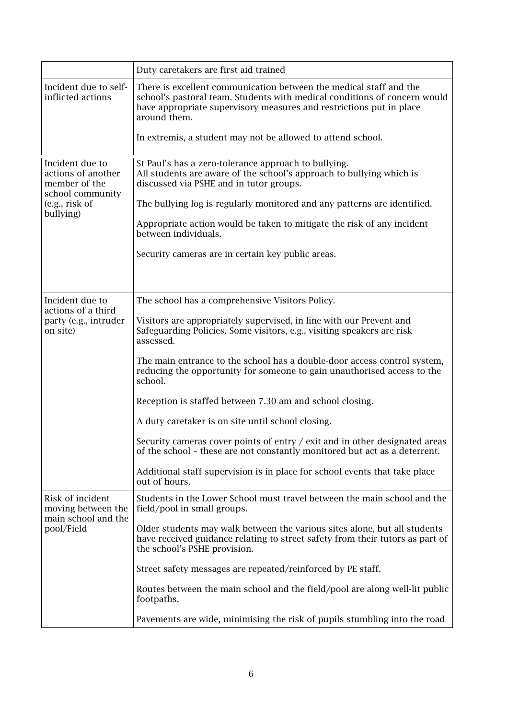|                                                                                                           | Duty caretakers are first aid trained                                                                                                                                                                                                  |
|-----------------------------------------------------------------------------------------------------------|----------------------------------------------------------------------------------------------------------------------------------------------------------------------------------------------------------------------------------------|
| Incident due to self-<br>inflicted actions                                                                | There is excellent communication between the medical staff and the<br>school's pastoral team. Students with medical conditions of concern would<br>have appropriate supervisory measures and restrictions put in place<br>around them. |
|                                                                                                           | In extremis, a student may not be allowed to attend school.                                                                                                                                                                            |
| Incident due to<br>actions of another<br>member of the<br>school community<br>(e.g., risk of<br>bullying) | St Paul's has a zero-tolerance approach to bullying.<br>All students are aware of the school's approach to bullying which is<br>discussed via PSHE and in tutor groups.                                                                |
|                                                                                                           | The bullying log is regularly monitored and any patterns are identified.                                                                                                                                                               |
|                                                                                                           | Appropriate action would be taken to mitigate the risk of any incident<br>between individuals.                                                                                                                                         |
|                                                                                                           | Security cameras are in certain key public areas.                                                                                                                                                                                      |
|                                                                                                           |                                                                                                                                                                                                                                        |
| Incident due to                                                                                           | The school has a comprehensive Visitors Policy.                                                                                                                                                                                        |
| actions of a third<br>party (e.g., intruder<br>on site)                                                   | Visitors are appropriately supervised, in line with our Prevent and<br>Safeguarding Policies. Some visitors, e.g., visiting speakers are risk<br>assessed.                                                                             |
|                                                                                                           | The main entrance to the school has a double-door access control system,<br>reducing the opportunity for someone to gain unauthorised access to the<br>school.                                                                         |
|                                                                                                           | Reception is staffed between 7.30 am and school closing.                                                                                                                                                                               |
|                                                                                                           | A duty caretaker is on site until school closing.                                                                                                                                                                                      |
|                                                                                                           | Security cameras cover points of entry / exit and in other designated areas<br>of the school - these are not constantly monitored but act as a deterrent.                                                                              |
|                                                                                                           | Additional staff supervision is in place for school events that take place<br>out of hours.                                                                                                                                            |
| Risk of incident<br>moving between the<br>main school and the<br>pool/Field                               | Students in the Lower School must travel between the main school and the<br>field/pool in small groups.                                                                                                                                |
|                                                                                                           | Older students may walk between the various sites alone, but all students<br>have received guidance relating to street safety from their tutors as part of<br>the school's PSHE provision.                                             |
|                                                                                                           | Street safety messages are repeated/reinforced by PE staff.                                                                                                                                                                            |
|                                                                                                           | Routes between the main school and the field/pool are along well-lit public<br>footpaths.                                                                                                                                              |
|                                                                                                           | Pavements are wide, minimising the risk of pupils stumbling into the road                                                                                                                                                              |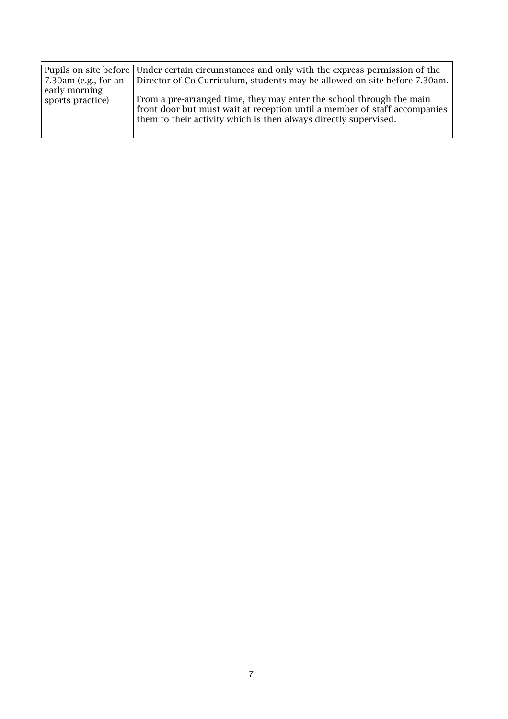| $\vert$ 7.30am (e.g., for an      | Pupils on site before Under certain circumstances and only with the express permission of the<br>Director of Co Curriculum, students may be allowed on site before 7.30am. |
|-----------------------------------|----------------------------------------------------------------------------------------------------------------------------------------------------------------------------|
| early morning<br>sports practice) | From a pre-arranged time, they may enter the school through the main<br>front door but must wait at reception until a member of staff accompanies                          |
|                                   | them to their activity which is then always directly supervised.                                                                                                           |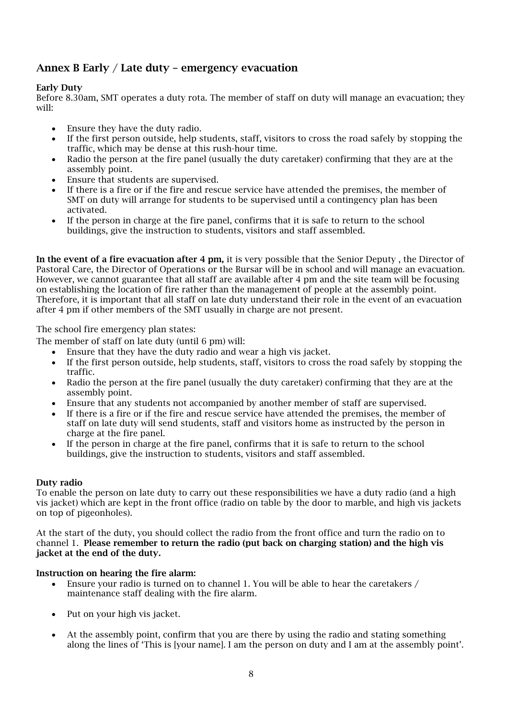# Annex B Early / Late duty – emergency evacuation

## Early Duty

Before 8.30am, SMT operates a duty rota. The member of staff on duty will manage an evacuation; they will:

- Ensure they have the duty radio.
- If the first person outside, help students, staff, visitors to cross the road safely by stopping the traffic, which may be dense at this rush-hour time.
- Radio the person at the fire panel (usually the duty caretaker) confirming that they are at the assembly point.
- Ensure that students are supervised.
- If there is a fire or if the fire and rescue service have attended the premises, the member of SMT on duty will arrange for students to be supervised until a contingency plan has been activated.
- If the person in charge at the fire panel, confirms that it is safe to return to the school buildings, give the instruction to students, visitors and staff assembled.

In the event of a fire evacuation after 4 pm, it is very possible that the Senior Deputy, the Director of Pastoral Care, the Director of Operations or the Bursar will be in school and will manage an evacuation. However, we cannot guarantee that all staff are available after 4 pm and the site team will be focusing on establishing the location of fire rather than the management of people at the assembly point. Therefore, it is important that all staff on late duty understand their role in the event of an evacuation after 4 pm if other members of the SMT usually in charge are not present.

The school fire emergency plan states:

- The member of staff on late duty (until 6 pm) will:
	- Ensure that they have the duty radio and wear a high vis jacket.
	- If the first person outside, help students, staff, visitors to cross the road safely by stopping the traffic.
	- Radio the person at the fire panel (usually the duty caretaker) confirming that they are at the assembly point.
	- Ensure that any students not accompanied by another member of staff are supervised.
	- If there is a fire or if the fire and rescue service have attended the premises, the member of staff on late duty will send students, staff and visitors home as instructed by the person in charge at the fire panel.
	- If the person in charge at the fire panel, confirms that it is safe to return to the school buildings, give the instruction to students, visitors and staff assembled.

## Duty radio

To enable the person on late duty to carry out these responsibilities we have a duty radio (and a high vis jacket) which are kept in the front office (radio on table by the door to marble, and high vis jackets on top of pigeonholes).

At the start of the duty, you should collect the radio from the front office and turn the radio on to channel 1. Please remember to return the radio (put back on charging station) and the high vis jacket at the end of the duty.

## Instruction on hearing the fire alarm:

- Ensure your radio is turned on to channel 1. You will be able to hear the caretakers / maintenance staff dealing with the fire alarm.
- Put on your high vis jacket.
- At the assembly point, confirm that you are there by using the radio and stating something along the lines of 'This is [your name]. I am the person on duty and I am at the assembly point'.